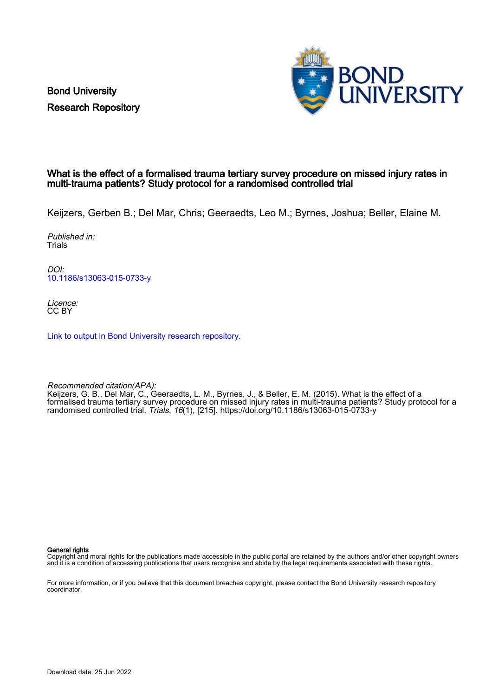Bond University Research Repository



## What is the effect of a formalised trauma tertiary survey procedure on missed injury rates in multi-trauma patients? Study protocol for a randomised controlled trial

Keijzers, Gerben B.; Del Mar, Chris; Geeraedts, Leo M.; Byrnes, Joshua; Beller, Elaine M.

Published in: **Trials** 

DOI: [10.1186/s13063-015-0733-y](https://doi.org/10.1186/s13063-015-0733-y)

Licence: CC BY

[Link to output in Bond University research repository.](https://research.bond.edu.au/en/publications/24daa6d6-38a9-491e-a4cc-993a2671cc3e)

Recommended citation(APA): Keijzers, G. B., Del Mar, C., Geeraedts, L. M., Byrnes, J., & Beller, E. M. (2015). What is the effect of a formalised trauma tertiary survey procedure on missed injury rates in multi-trauma patients? Study protocol for a randomised controlled trial. Trials, 16(1), [215].<https://doi.org/10.1186/s13063-015-0733-y>

General rights

Copyright and moral rights for the publications made accessible in the public portal are retained by the authors and/or other copyright owners and it is a condition of accessing publications that users recognise and abide by the legal requirements associated with these rights.

For more information, or if you believe that this document breaches copyright, please contact the Bond University research repository coordinator.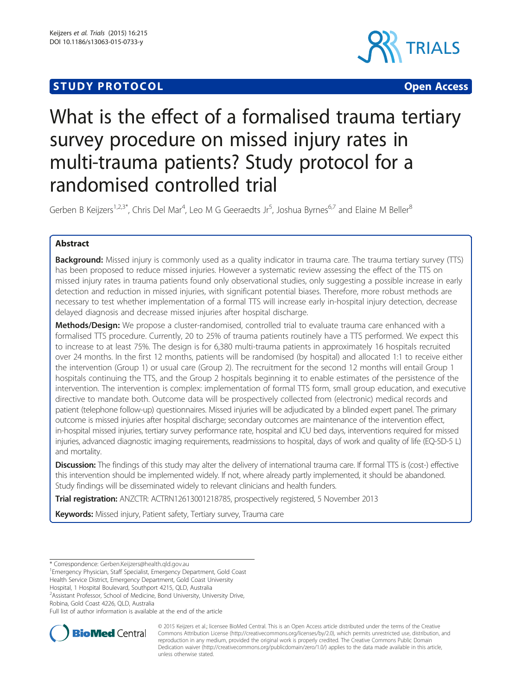# **STUDY PROTOCOL CONSUMING THE CONSUMING OPEN ACCESS**



# What is the effect of a formalised trauma tertiary survey procedure on missed injury rates in multi-trauma patients? Study protocol for a randomised controlled trial

Gerben B Keijzers<sup>1,2,3\*</sup>, Chris Del Mar<sup>4</sup>, Leo M G Geeraedts Jr<sup>5</sup>, Joshua Byrnes<sup>6,7</sup> and Elaine M Beller<sup>8</sup>

## Abstract

Background: Missed injury is commonly used as a quality indicator in trauma care. The trauma tertiary survey (ITS) has been proposed to reduce missed injuries. However a systematic review assessing the effect of the TTS on missed injury rates in trauma patients found only observational studies, only suggesting a possible increase in early detection and reduction in missed injuries, with significant potential biases. Therefore, more robust methods are necessary to test whether implementation of a formal TTS will increase early in-hospital injury detection, decrease delayed diagnosis and decrease missed injuries after hospital discharge.

Methods/Design: We propose a cluster-randomised, controlled trial to evaluate trauma care enhanced with a formalised TTS procedure. Currently, 20 to 25% of trauma patients routinely have a TTS performed. We expect this to increase to at least 75%. The design is for 6,380 multi-trauma patients in approximately 16 hospitals recruited over 24 months. In the first 12 months, patients will be randomised (by hospital) and allocated 1:1 to receive either the intervention (Group 1) or usual care (Group 2). The recruitment for the second 12 months will entail Group 1 hospitals continuing the TTS, and the Group 2 hospitals beginning it to enable estimates of the persistence of the intervention. The intervention is complex: implementation of formal TTS form, small group education, and executive directive to mandate both. Outcome data will be prospectively collected from (electronic) medical records and patient (telephone follow-up) questionnaires. Missed injuries will be adjudicated by a blinded expert panel. The primary outcome is missed injuries after hospital discharge; secondary outcomes are maintenance of the intervention effect, in-hospital missed injuries, tertiary survey performance rate, hospital and ICU bed days, interventions required for missed injuries, advanced diagnostic imaging requirements, readmissions to hospital, days of work and quality of life (EQ-5D-5 L) and mortality.

**Discussion:** The findings of this study may alter the delivery of international trauma care. If formal TTS is (cost-) effective this intervention should be implemented widely. If not, where already partly implemented, it should be abandoned. Study findings will be disseminated widely to relevant clinicians and health funders.

Trial registration: ANZCTR: [ACTRN12613001218785](https://www.anzctr.org.au/Trial/Registration/TrialReview.aspx?id=365253), prospectively registered, 5 November 2013

Keywords: Missed injury, Patient safety, Tertiary survey, Trauma care

Hospital, 1 Hospital Boulevard, Southport 4215, QLD, Australia

<sup>2</sup> Assistant Professor, School of Medicine, Bond University, University Drive, Robina, Gold Coast 4226, QLD, Australia

Full list of author information is available at the end of the article



© 2015 Keijzers et al.; licensee BioMed Central. This is an Open Access article distributed under the terms of the Creative Commons Attribution License [\(http://creativecommons.org/licenses/by/2.0\)](http://creativecommons.org/licenses/by/2.0), which permits unrestricted use, distribution, and reproduction in any medium, provided the original work is properly credited. The Creative Commons Public Domain Dedication waiver [\(http://creativecommons.org/publicdomain/zero/1.0/](http://creativecommons.org/publicdomain/zero/1.0/)) applies to the data made available in this article, unless otherwise stated.

<sup>\*</sup> Correspondence: [Gerben.Keijzers@health.qld.gov.au](mailto:Gerben.Keijzers@health.qld.gov.au) <sup>1</sup>

Emergency Physician, Staff Specialist, Emergency Department, Gold Coast Health Service District, Emergency Department, Gold Coast University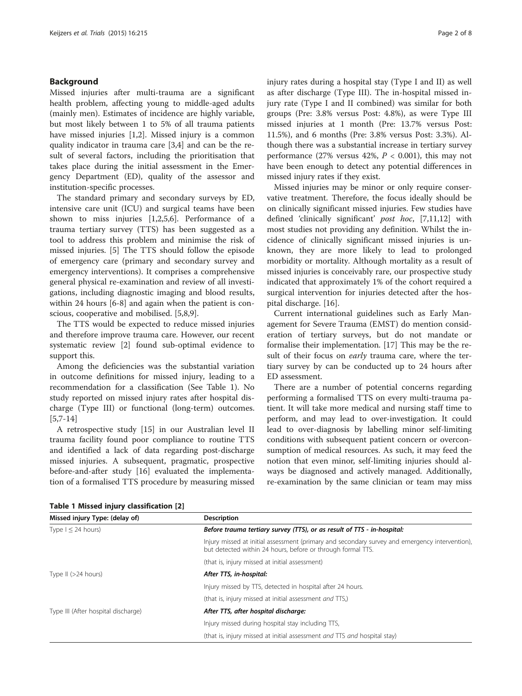#### Background

Missed injuries after multi-trauma are a significant health problem, affecting young to middle-aged adults (mainly men). Estimates of incidence are highly variable, but most likely between 1 to 5% of all trauma patients have missed injuries [\[1,2](#page-8-0)]. Missed injury is a common quality indicator in trauma care [\[3,4\]](#page-8-0) and can be the result of several factors, including the prioritisation that takes place during the initial assessment in the Emergency Department (ED), quality of the assessor and institution-specific processes.

The standard primary and secondary surveys by ED, intensive care unit (ICU) and surgical teams have been shown to miss injuries [[1,2,5,6\]](#page-8-0). Performance of a trauma tertiary survey (TTS) has been suggested as a tool to address this problem and minimise the risk of missed injuries. [\[5](#page-8-0)] The TTS should follow the episode of emergency care (primary and secondary survey and emergency interventions). It comprises a comprehensive general physical re-examination and review of all investigations, including diagnostic imaging and blood results, within 24 hours [[6-8](#page-8-0)] and again when the patient is conscious, cooperative and mobilised. [[5](#page-8-0),[8](#page-8-0),[9\]](#page-8-0).

The TTS would be expected to reduce missed injuries and therefore improve trauma care. However, our recent systematic review [[2\]](#page-8-0) found sub-optimal evidence to support this.

Among the deficiencies was the substantial variation in outcome definitions for missed injury, leading to a recommendation for a classification (See Table 1). No study reported on missed injury rates after hospital discharge (Type III) or functional (long-term) outcomes. [[5,7-14](#page-8-0)]

A retrospective study [[15\]](#page-8-0) in our Australian level II trauma facility found poor compliance to routine TTS and identified a lack of data regarding post-discharge missed injuries. A subsequent, pragmatic, prospective before-and-after study [\[16](#page-8-0)] evaluated the implementation of a formalised TTS procedure by measuring missed injury rates during a hospital stay (Type I and II) as well as after discharge (Type III). The in-hospital missed injury rate (Type I and II combined) was similar for both groups (Pre: 3.8% versus Post: 4.8%), as were Type III missed injuries at 1 month (Pre: 13.7% versus Post: 11.5%), and 6 months (Pre: 3.8% versus Post: 3.3%). Although there was a substantial increase in tertiary survey performance (27% versus 42%,  $P < 0.001$ ), this may not have been enough to detect any potential differences in missed injury rates if they exist.

Missed injuries may be minor or only require conservative treatment. Therefore, the focus ideally should be on clinically significant missed injuries. Few studies have defined 'clinically significant' post hoc, [\[7,11,12](#page-8-0)] with most studies not providing any definition. Whilst the incidence of clinically significant missed injuries is unknown, they are more likely to lead to prolonged morbidity or mortality. Although mortality as a result of missed injuries is conceivably rare, our prospective study indicated that approximately 1% of the cohort required a surgical intervention for injuries detected after the hospital discharge. [\[16](#page-8-0)].

Current international guidelines such as Early Management for Severe Trauma (EMST) do mention consideration of tertiary surveys, but do not mandate or formalise their implementation. [[17\]](#page-8-0) This may be the result of their focus on early trauma care, where the tertiary survey by can be conducted up to 24 hours after ED assessment.

There are a number of potential concerns regarding performing a formalised TTS on every multi-trauma patient. It will take more medical and nursing staff time to perform, and may lead to over-investigation. It could lead to over-diagnosis by labelling minor self-limiting conditions with subsequent patient concern or overconsumption of medical resources. As such, it may feed the notion that even minor, self-limiting injuries should always be diagnosed and actively managed. Additionally, re-examination by the same clinician or team may miss

| Missed injury Type: (delay of)      | <b>Description</b>                                                                                                                                            |  |
|-------------------------------------|---------------------------------------------------------------------------------------------------------------------------------------------------------------|--|
| Type $1 \leq 24$ hours)             | Before trauma tertiary survey (TTS), or as result of TTS - in-hospital:                                                                                       |  |
|                                     | Injury missed at initial assessment (primary and secondary survey and emergency intervention),<br>but detected within 24 hours, before or through formal TTS. |  |
|                                     | (that is, injury missed at initial assessment)                                                                                                                |  |
| Type II $(>24$ hours)               | After TTS, in-hospital:                                                                                                                                       |  |
|                                     | Injury missed by TTS, detected in hospital after 24 hours.                                                                                                    |  |
|                                     | (that is, injury missed at initial assessment and TTS.)                                                                                                       |  |
| Type III (After hospital discharge) | After TTS, after hospital discharge:                                                                                                                          |  |
|                                     | Injury missed during hospital stay including TTS,                                                                                                             |  |
|                                     | (that is, injury missed at initial assessment and TTS and hospital stay)                                                                                      |  |

Table 1 Missed injury classification [[2\]](#page-8-0)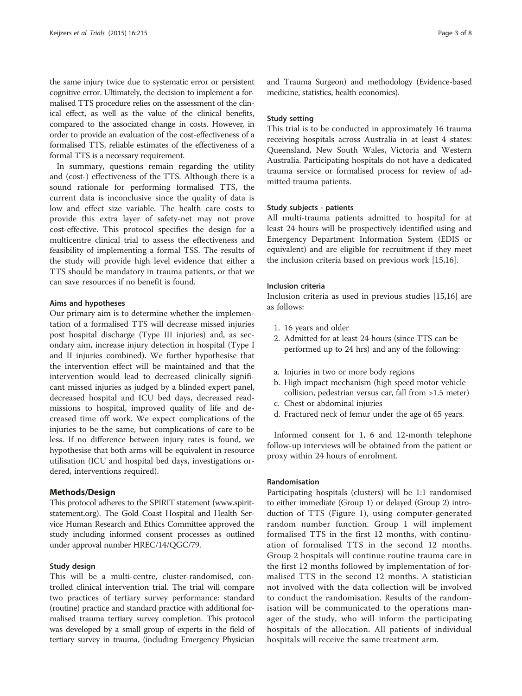the same injury twice due to systematic error or persistent cognitive error. Ultimately, the decision to implement a formalised TTS procedure relies on the assessment of the clinical effect, as well as the value of the clinical benefits, compared to the associated change in costs. However, in order to provide an evaluation of the cost-effectiveness of a formalised TTS, reliable estimates of the effectiveness of a formal TTS is a necessary requirement.

In summary, questions remain regarding the utility and (cost-) effectiveness of the TTS. Although there is a sound rationale for performing formalised TTS, the current data is inconclusive since the quality of data is low and effect size variable. The health care costs to provide this extra layer of safety-net may not prove cost-effective. This protocol specifies the design for a multicentre clinical trial to assess the effectiveness and feasibility of implementing a formal TSS. The results of the study will provide high level evidence that either a TTS should be mandatory in trauma patients, or that we can save resources if no benefit is found.

#### Aims and hypotheses

Our primary aim is to determine whether the implementation of a formalised TTS will decrease missed injuries post hospital discharge (Type III injuries) and, as secondary aim, increase injury detection in hospital (Type I and II injuries combined). We further hypothesise that the intervention effect will be maintained and that the intervention would lead to decreased clinically significant missed injuries as judged by a blinded expert panel, decreased hospital and ICU bed days, decreased readmissions to hospital, improved quality of life and decreased time off work. We expect complications of the injuries to be the same, but complications of care to be less. If no difference between injury rates is found, we hypothesise that both arms will be equivalent in resource utilisation (ICU and hospital bed days, investigations ordered, interventions required).

#### Methods/Design

This protocol adheres to the SPIRIT statement [\(www.spirit](http://www.spirit-statement.org)[statement.org\)](http://www.spirit-statement.org). The Gold Coast Hospital and Health Service Human Research and Ethics Committee approved the study including informed consent processes as outlined under approval number HREC/14/QGC/79.

#### Study design

This will be a multi-centre, cluster-randomised, controlled clinical intervention trial. The trial will compare two practices of tertiary survey performance: standard (routine) practice and standard practice with additional formalised trauma tertiary survey completion. This protocol was developed by a small group of experts in the field of tertiary survey in trauma, (including Emergency Physician and Trauma Surgeon) and methodology (Evidence-based medicine, statistics, health economics).

#### Study setting

This trial is to be conducted in approximately 16 trauma receiving hospitals across Australia in at least 4 states: Queensland, New South Wales, Victoria and Western Australia. Participating hospitals do not have a dedicated trauma service or formalised process for review of admitted trauma patients.

#### Study subjects - patients

All multi-trauma patients admitted to hospital for at least 24 hours will be prospectively identified using and Emergency Department Information System (EDIS or equivalent) and are eligible for recruitment if they meet the inclusion criteria based on previous work [\[15,16\]](#page-8-0).

#### Inclusion criteria

Inclusion criteria as used in previous studies [[15,16](#page-8-0)] are as follows:

- 1. 16 years and older
- 2. Admitted for at least 24 hours (since TTS can be performed up to 24 hrs) and any of the following:
- a. Injuries in two or more body regions
- b. High impact mechanism (high speed motor vehicle collision, pedestrian versus car, fall from >1.5 meter)
- c. Chest or abdominal injuries
- d. Fractured neck of femur under the age of 65 years.

Informed consent for 1, 6 and 12-month telephone follow-up interviews will be obtained from the patient or proxy within 24 hours of enrolment.

#### Randomisation

Participating hospitals (clusters) will be 1:1 randomised to either immediate (Group 1) or delayed (Group 2) introduction of TTS (Figure [1](#page-4-0)), using computer-generated random number function. Group 1 will implement formalised TTS in the first 12 months, with continuation of formalised TTS in the second 12 months. Group 2 hospitals will continue routine trauma care in the first 12 months followed by implementation of formalised TTS in the second 12 months. A statistician not involved with the data collection will be involved to conduct the randomisation. Results of the randomisation will be communicated to the operations manager of the study, who will inform the participating hospitals of the allocation. All patients of individual hospitals will receive the same treatment arm.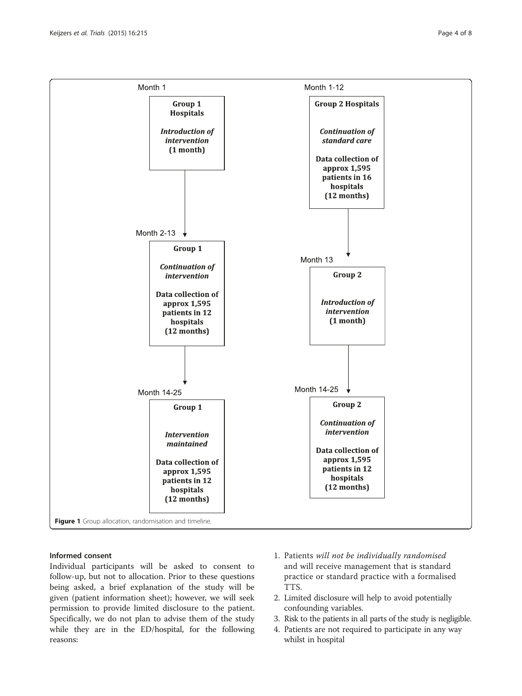<span id="page-4-0"></span>

#### Informed consent

Individual participants will be asked to consent to follow-up, but not to allocation. Prior to these questions being asked, a brief explanation of the study will be given (patient information sheet); however, we will seek permission to provide limited disclosure to the patient. Specifically, we do not plan to advise them of the study while they are in the ED/hospital, for the following reasons:

- 1. Patients will not be individually randomised and will receive management that is standard practice or standard practice with a formalised TTS.
- 2. Limited disclosure will help to avoid potentially confounding variables.
- 3. Risk to the patients in all parts of the study is negligible.
- 4. Patients are not required to participate in any way whilst in hospital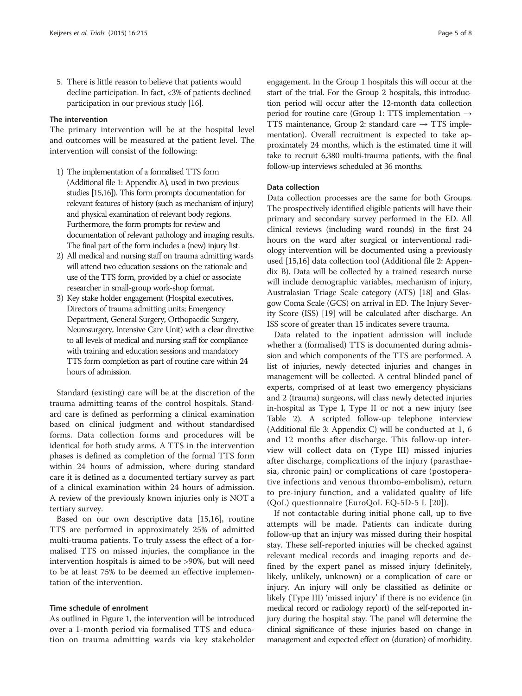5. There is little reason to believe that patients would decline participation. In fact, <3% of patients declined participation in our previous study [[16](#page-8-0)].

#### The intervention

The primary intervention will be at the hospital level and outcomes will be measured at the patient level. The intervention will consist of the following:

- 1) The implementation of a formalised TTS form (Additional file [1](#page-8-0): Appendix A), used in two previous studies [\[15,16\]](#page-8-0)). This form prompts documentation for relevant features of history (such as mechanism of injury) and physical examination of relevant body regions. Furthermore, the form prompts for review and documentation of relevant pathology and imaging results. The final part of the form includes a (new) injury list.
- 2) All medical and nursing staff on trauma admitting wards will attend two education sessions on the rationale and use of the TTS form, provided by a chief or associate researcher in small-group work-shop format.
- 3) Key stake holder engagement (Hospital executives, Directors of trauma admitting units; Emergency Department, General Surgery, Orthopaedic Surgery, Neurosurgery, Intensive Care Unit) with a clear directive to all levels of medical and nursing staff for compliance with training and education sessions and mandatory TTS form completion as part of routine care within 24 hours of admission.

Standard (existing) care will be at the discretion of the trauma admitting teams of the control hospitals. Standard care is defined as performing a clinical examination based on clinical judgment and without standardised forms. Data collection forms and procedures will be identical for both study arms. A TTS in the intervention phases is defined as completion of the formal TTS form within 24 hours of admission, where during standard care it is defined as a documented tertiary survey as part of a clinical examination within 24 hours of admission. A review of the previously known injuries only is NOT a tertiary survey.

Based on our own descriptive data [\[15,16](#page-8-0)], routine TTS are performed in approximately 25% of admitted multi-trauma patients. To truly assess the effect of a formalised TTS on missed injuries, the compliance in the intervention hospitals is aimed to be >90%, but will need to be at least 75% to be deemed an effective implementation of the intervention.

#### Time schedule of enrolment

As outlined in Figure [1](#page-4-0), the intervention will be introduced over a 1-month period via formalised TTS and education on trauma admitting wards via key stakeholder

engagement. In the Group 1 hospitals this will occur at the start of the trial. For the Group 2 hospitals, this introduction period will occur after the 12-month data collection period for routine care (Group 1: TTS implementation → TTS maintenance, Group 2: standard care  $\rightarrow$  TTS implementation). Overall recruitment is expected to take approximately 24 months, which is the estimated time it will take to recruit 6,380 multi-trauma patients, with the final follow-up interviews scheduled at 36 months.

#### Data collection

Data collection processes are the same for both Groups. The prospectively identified eligible patients will have their primary and secondary survey performed in the ED. All clinical reviews (including ward rounds) in the first 24 hours on the ward after surgical or interventional radiology intervention will be documented using a previously used [\[15,16](#page-8-0)] data collection tool (Additional file [2](#page-8-0): Appendix B). Data will be collected by a trained research nurse will include demographic variables, mechanism of injury, Australasian Triage Scale category (ATS) [\[18](#page-8-0)] and Glasgow Coma Scale (GCS) on arrival in ED. The Injury Severity Score (ISS) [\[19\]](#page-8-0) will be calculated after discharge. An ISS score of greater than 15 indicates severe trauma.

Data related to the inpatient admission will include whether a (formalised) TTS is documented during admission and which components of the TTS are performed. A list of injuries, newly detected injuries and changes in management will be collected. A central blinded panel of experts, comprised of at least two emergency physicians and 2 (trauma) surgeons, will class newly detected injuries in-hospital as Type I, Type II or not a new injury (see Table [2](#page-6-0)). A scripted follow-up telephone interview (Additional file [3](#page-8-0): Appendix C) will be conducted at 1, 6 and 12 months after discharge. This follow-up interview will collect data on (Type III) missed injuries after discharge, complications of the injury (parasthaesia, chronic pain) or complications of care (postoperative infections and venous thrombo-embolism), return to pre-injury function, and a validated quality of life (QoL) questionnaire (EuroQoL EQ-5D-5 L [[20](#page-8-0)]).

If not contactable during initial phone call, up to five attempts will be made. Patients can indicate during follow-up that an injury was missed during their hospital stay. These self-reported injuries will be checked against relevant medical records and imaging reports and defined by the expert panel as missed injury (definitely, likely, unlikely, unknown) or a complication of care or injury. An injury will only be classified as definite or likely (Type III) 'missed injury' if there is no evidence (in medical record or radiology report) of the self-reported injury during the hospital stay. The panel will determine the clinical significance of these injuries based on change in management and expected effect on (duration) of morbidity.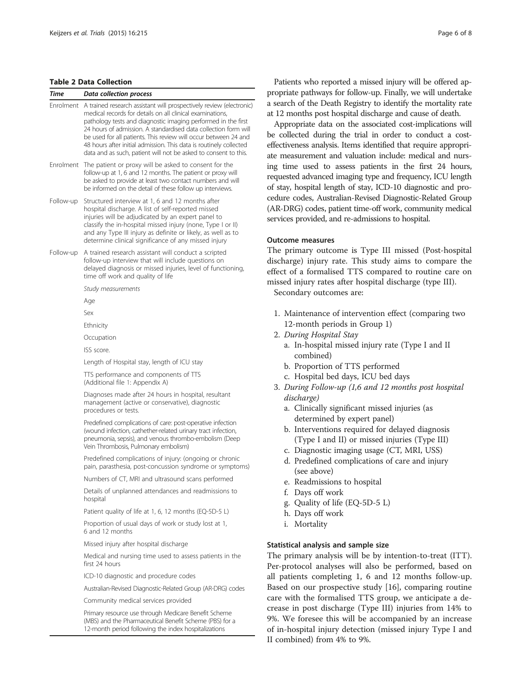#### <span id="page-6-0"></span>Table 2 Data Collection

| Time      | Data collection process                                                                                                                                                                                                                                                                                                                                                                                                                                                                    |  |
|-----------|--------------------------------------------------------------------------------------------------------------------------------------------------------------------------------------------------------------------------------------------------------------------------------------------------------------------------------------------------------------------------------------------------------------------------------------------------------------------------------------------|--|
|           | Enrolment A trained research assistant will prospectively review (electronic)<br>medical records for details on all clinical examinations,<br>pathology tests and diagnostic imaging performed in the first<br>24 hours of admission. A standardised data collection form will<br>be used for all patients. This review will occur between 24 and<br>48 hours after initial admission. This data is routinely collected<br>data and as such, patient will not be asked to consent to this. |  |
| Enrolment | The patient or proxy will be asked to consent for the<br>follow-up at 1, 6 and 12 months. The patient or proxy will<br>be asked to provide at least two contact numbers and will<br>be informed on the detail of these follow up interviews.                                                                                                                                                                                                                                               |  |
| Follow-up | Structured interview at 1, 6 and 12 months after<br>hospital discharge. A list of self-reported missed<br>injuries will be adjudicated by an expert panel to<br>classify the in-hospital missed injury (none, Type I or II)<br>and any Type III injury as definite or likely, as well as to<br>determine clinical significance of any missed injury                                                                                                                                        |  |
| Follow-up | A trained research assistant will conduct a scripted<br>follow-up interview that will include questions on<br>delayed diagnosis or missed injuries, level of functioning,<br>time off work and quality of life                                                                                                                                                                                                                                                                             |  |
|           | Study measurements                                                                                                                                                                                                                                                                                                                                                                                                                                                                         |  |
|           | Age                                                                                                                                                                                                                                                                                                                                                                                                                                                                                        |  |
|           | Sex                                                                                                                                                                                                                                                                                                                                                                                                                                                                                        |  |
|           | Ethnicity                                                                                                                                                                                                                                                                                                                                                                                                                                                                                  |  |
|           | Occupation                                                                                                                                                                                                                                                                                                                                                                                                                                                                                 |  |
|           | ISS score.                                                                                                                                                                                                                                                                                                                                                                                                                                                                                 |  |
|           | Length of Hospital stay, length of ICU stay                                                                                                                                                                                                                                                                                                                                                                                                                                                |  |
|           | TTS performance and components of TTS<br>(Additional file 1: Appendix A)                                                                                                                                                                                                                                                                                                                                                                                                                   |  |
|           | Diagnoses made after 24 hours in hospital, resultant<br>management (active or conservative), diagnostic<br>procedures or tests.                                                                                                                                                                                                                                                                                                                                                            |  |
|           | Predefined complications of care: post-operative infection<br>(wound infection, cathether-related urinary tract infection,<br>pneumonia, sepsis), and venous thrombo-embolism (Deep<br>Vein Thrombosis, Pulmonary embolism)                                                                                                                                                                                                                                                                |  |
|           | Predefined complications of injury: (ongoing or chronic<br>pain, parasthesia, post-concussion syndrome or symptoms)                                                                                                                                                                                                                                                                                                                                                                        |  |
|           | Numbers of CT, MRI and ultrasound scans performed                                                                                                                                                                                                                                                                                                                                                                                                                                          |  |
|           | Details of unplanned attendances and readmissions to<br>hospital                                                                                                                                                                                                                                                                                                                                                                                                                           |  |
|           | Patient quality of life at 1, 6, 12 months (EQ-5D-5 L)                                                                                                                                                                                                                                                                                                                                                                                                                                     |  |
|           | Proportion of usual days of work or study lost at 1,<br>6 and 12 months                                                                                                                                                                                                                                                                                                                                                                                                                    |  |
|           | Missed injury after hospital discharge                                                                                                                                                                                                                                                                                                                                                                                                                                                     |  |
|           | Medical and nursing time used to assess patients in the<br>first 24 hours                                                                                                                                                                                                                                                                                                                                                                                                                  |  |
|           | ICD-10 diagnostic and procedure codes                                                                                                                                                                                                                                                                                                                                                                                                                                                      |  |
|           | Australian-Revised Diagnostic-Related Group (AR-DRG) codes                                                                                                                                                                                                                                                                                                                                                                                                                                 |  |
|           | Community medical services provided                                                                                                                                                                                                                                                                                                                                                                                                                                                        |  |
|           | Primary resource use through Medicare Benefit Scheme<br>(MBS) and the Pharmaceutical Benefit Scheme (PBS) for a<br>12-month period following the index hospitalizations                                                                                                                                                                                                                                                                                                                    |  |

Patients who reported a missed injury will be offered appropriate pathways for follow-up. Finally, we will undertake a search of the Death Registry to identify the mortality rate at 12 months post hospital discharge and cause of death.

Appropriate data on the associated cost-implications will be collected during the trial in order to conduct a costeffectiveness analysis. Items identified that require appropriate measurement and valuation include: medical and nursing time used to assess patients in the first 24 hours, requested advanced imaging type and frequency, ICU length of stay, hospital length of stay, ICD-10 diagnostic and procedure codes, Australian-Revised Diagnostic-Related Group (AR-DRG) codes, patient time-off work, community medical services provided, and re-admissions to hospital.

#### Outcome measures

The primary outcome is Type III missed (Post-hospital discharge) injury rate. This study aims to compare the effect of a formalised TTS compared to routine care on missed injury rates after hospital discharge (type III). Secondary outcomes are:

- 1. Maintenance of intervention effect (comparing two 12-month periods in Group 1)
- 2. During Hospital Stay
	- a. In-hospital missed injury rate (Type I and II combined)
	- b. Proportion of TTS performed
	- c. Hospital bed days, ICU bed days
- 3. During Follow-up (1,6 and 12 months post hospital discharge)
	- a. Clinically significant missed injuries (as determined by expert panel)
	- b. Interventions required for delayed diagnosis (Type I and II) or missed injuries (Type III)
	- c. Diagnostic imaging usage (CT, MRI, USS)
	- d. Predefined complications of care and injury (see above)
	- e. Readmissions to hospital
	- f. Days off work
	- g. Quality of life (EQ-5D-5 L)
	- h. Days off work
	- i. Mortality

#### Statistical analysis and sample size

The primary analysis will be by intention-to-treat (ITT). Per-protocol analyses will also be performed, based on all patients completing 1, 6 and 12 months follow-up. Based on our prospective study [[16\]](#page-8-0), comparing routine care with the formalised TTS group, we anticipate a decrease in post discharge (Type III) injuries from 14% to 9%. We foresee this will be accompanied by an increase of in-hospital injury detection (missed injury Type I and II combined) from 4% to 9%.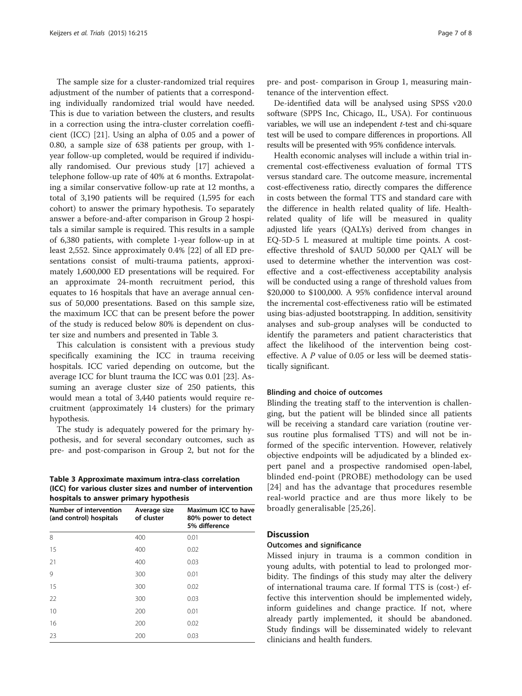The sample size for a cluster-randomized trial requires adjustment of the number of patients that a corresponding individually randomized trial would have needed. This is due to variation between the clusters, and results in a correction using the intra-cluster correlation coefficient (ICC) [\[21\]](#page-8-0). Using an alpha of 0.05 and a power of 0.80, a sample size of 638 patients per group, with 1 year follow-up completed, would be required if individually randomised. Our previous study [\[17](#page-8-0)] achieved a telephone follow-up rate of 40% at 6 months. Extrapolating a similar conservative follow-up rate at 12 months, a total of 3,190 patients will be required (1,595 for each cohort) to answer the primary hypothesis. To separately answer a before-and-after comparison in Group 2 hospitals a similar sample is required. This results in a sample of 6,380 patients, with complete 1-year follow-up in at least 2,552. Since approximately 0.4% [\[22](#page-8-0)] of all ED presentations consist of multi-trauma patients, approximately 1,600,000 ED presentations will be required. For an approximate 24-month recruitment period, this equates to 16 hospitals that have an average annual census of 50,000 presentations. Based on this sample size, the maximum ICC that can be present before the power of the study is reduced below 80% is dependent on cluster size and numbers and presented in Table 3.

This calculation is consistent with a previous study specifically examining the ICC in trauma receiving hospitals. ICC varied depending on outcome, but the average ICC for blunt trauma the ICC was 0.01 [[23\]](#page-8-0). Assuming an average cluster size of 250 patients, this would mean a total of 3,440 patients would require recruitment (approximately 14 clusters) for the primary hypothesis.

The study is adequately powered for the primary hypothesis, and for several secondary outcomes, such as pre- and post-comparison in Group 2, but not for the

Table 3 Approximate maximum intra-class correlation (ICC) for various cluster sizes and number of intervention hospitals to answer primary hypothesis

| Number of intervention<br>(and control) hospitals | Average size<br>of cluster | Maximum ICC to have<br>80% power to detect<br>5% difference |
|---------------------------------------------------|----------------------------|-------------------------------------------------------------|
| 8                                                 | 400                        | 0.01                                                        |
| 15                                                | 400                        | 0.02                                                        |
| 21                                                | 400                        | 0.03                                                        |
| 9                                                 | 300                        | 0.01                                                        |
| 15                                                | 300                        | 0.02                                                        |
| 22                                                | 300                        | 0.03                                                        |
| 10                                                | 200                        | 0.01                                                        |
| 16                                                | 200                        | 0.02                                                        |
| 23                                                | 200                        | 0.03                                                        |

pre- and post- comparison in Group 1, measuring maintenance of the intervention effect.

De-identified data will be analysed using SPSS v20.0 software (SPPS Inc, Chicago, IL, USA). For continuous variables, we will use an independent t-test and chi-square test will be used to compare differences in proportions. All results will be presented with 95% confidence intervals.

Health economic analyses will include a within trial incremental cost-effectiveness evaluation of formal TTS versus standard care. The outcome measure, incremental cost-effectiveness ratio, directly compares the difference in costs between the formal TTS and standard care with the difference in health related quality of life. Healthrelated quality of life will be measured in quality adjusted life years (QALYs) derived from changes in EQ-5D-5 L measured at multiple time points. A costeffective threshold of \$AUD 50,000 per QALY will be used to determine whether the intervention was costeffective and a cost-effectiveness acceptability analysis will be conducted using a range of threshold values from \$20,000 to \$100,000. A 95% confidence interval around the incremental cost-effectiveness ratio will be estimated using bias-adjusted bootstrapping. In addition, sensitivity analyses and sub-group analyses will be conducted to identify the parameters and patient characteristics that affect the likelihood of the intervention being costeffective. A P value of 0.05 or less will be deemed statistically significant.

#### Blinding and choice of outcomes

Blinding the treating staff to the intervention is challenging, but the patient will be blinded since all patients will be receiving a standard care variation (routine versus routine plus formalised TTS) and will not be informed of the specific intervention. However, relatively objective endpoints will be adjudicated by a blinded expert panel and a prospective randomised open-label, blinded end-point (PROBE) methodology can be used [[24](#page-8-0)] and has the advantage that procedures resemble real-world practice and are thus more likely to be broadly generalisable [[25,26](#page-8-0)].

#### **Discussion**

#### Outcomes and significance

Missed injury in trauma is a common condition in young adults, with potential to lead to prolonged morbidity. The findings of this study may alter the delivery of international trauma care. If formal TTS is (cost-) effective this intervention should be implemented widely, inform guidelines and change practice. If not, where already partly implemented, it should be abandoned. Study findings will be disseminated widely to relevant clinicians and health funders.